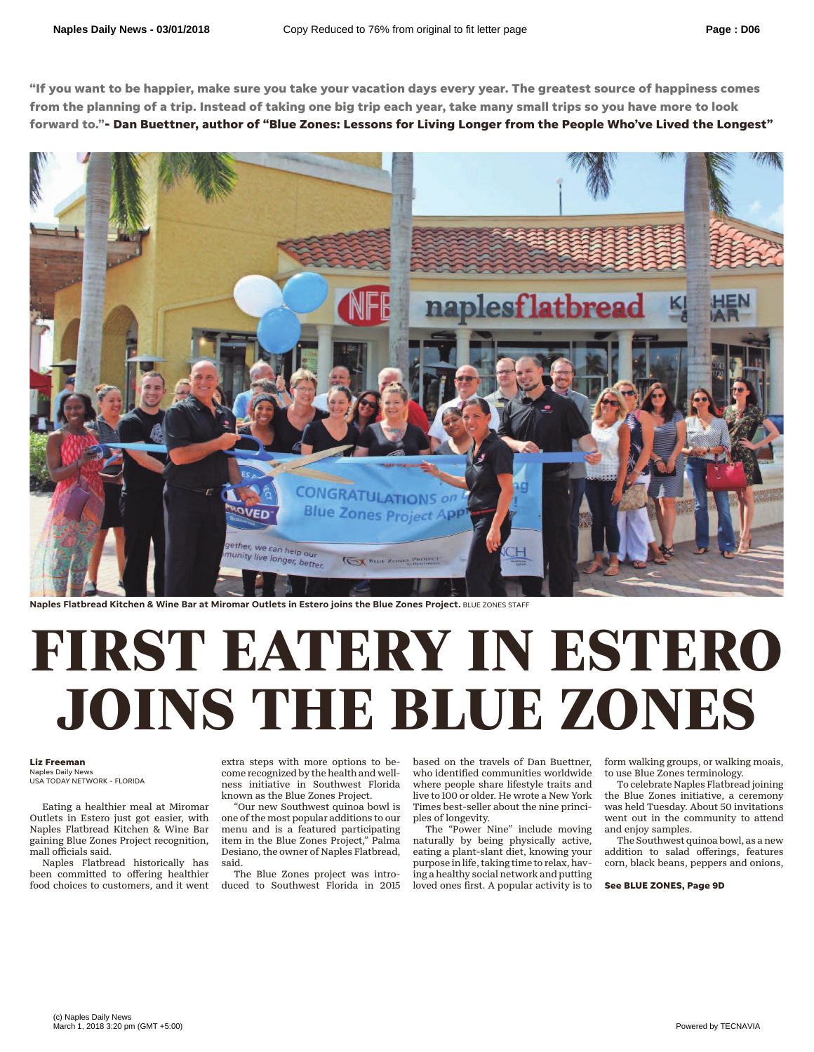**"If you want to be happier, make sure you take your vacation days every year. The greatest source of happiness comes from the planning of a trip. Instead of taking one big trip each year, take many small trips so you have more to look forward to."- Dan Buettner, author of "Blue Zones: Lessons for Living Longer from the People Who've Lived the Longest"**



**Naples Flatbread Kitchen & Wine Bar at Miromar Outlets in Estero joins the Blue Zones Project.** BLUE ZONES STAFF

## **FIRST EATERY IN ESTERO JOINS THE BLUE ZONES**

## **Liz Freeman**

Naples Daily News USA TODAY NETWORK - FLORIDA

Eating a healthier meal at Miromar Outlets in Estero just got easier, with Naples Flatbread Kitchen & Wine Bar gaining Blue Zones Project recognition, mall officials said.

Naples Flatbread historically has been committed to offering healthier food choices to customers, and it went extra steps with more options to become recognized by the health and wellness initiative in Southwest Florida known as the Blue Zones Project.

"Our new Southwest quinoa bowl is one of the most popular additions to our menu and is a featured participating item in the Blue Zones Project," Palma Desiano, the owner of Naples Flatbread, said.

The Blue Zones project was introduced to Southwest Florida in 2015 based on the travels of Dan Buettner, who identified communities worldwide where people share lifestyle traits and live to 100 or older. He wrote a New York Times best-seller about the nine principles of longevity.

The "Power Nine" include moving naturally by being physically active, eating a plant-slant diet, knowing your purpose in life, taking time to relax, having a healthy social network and putting loved ones first. A popular activity is to

form walking groups, or walking moais, to use Blue Zones terminology.

To celebrate Naples Flatbread joining the Blue Zones initiative, a ceremony was held Tuesday. About 50 invitations went out in the community to attend and enjoy samples.

The Southwest quinoa bowl, as a new addition to salad offerings, features corn, black beans, peppers and onions,

**See BLUE ZONES, Page 9D**